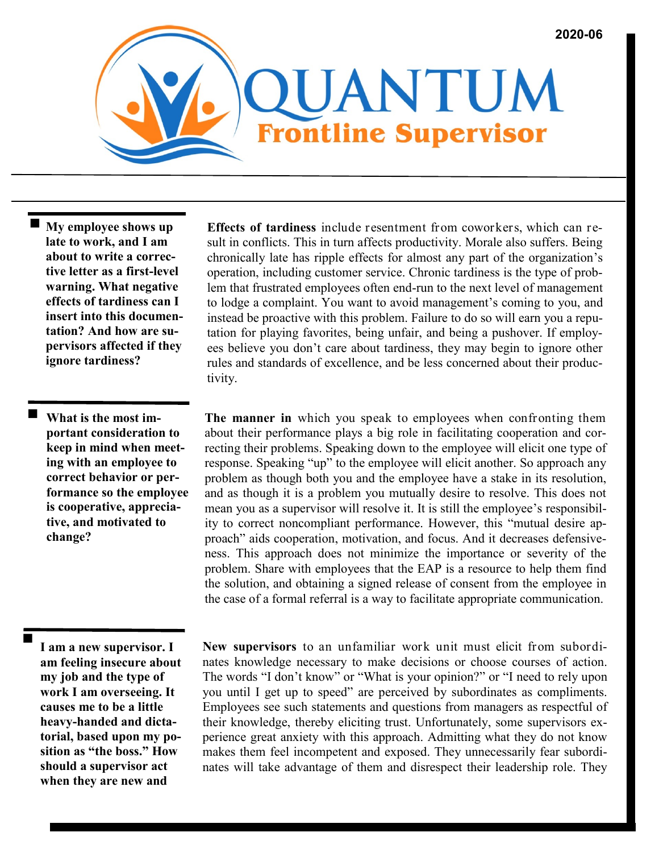**My employee shows up late to work, and I am about to write a corrective letter as a first-level warning. What negative effects of tardiness can I insert into this documentation? And how are supervisors affected if they ignore tardiness?**

 **What is the most important consideration to keep in mind when meeting with an employee to correct behavior or performance so the employee is cooperative, appreciative, and motivated to change?**

**Effects of tardiness** include resentment from coworkers, which can result in conflicts. This in turn affects productivity. Morale also suffers. Being chronically late has ripple effects for almost any part of the organization's operation, including customer service. Chronic tardiness is the type of problem that frustrated employees often end-run to the next level of management to lodge a complaint. You want to avoid management's coming to you, and instead be proactive with this problem. Failure to do so will earn you a reputation for playing favorites, being unfair, and being a pushover. If employees believe you don't care about tardiness, they may begin to ignore other rules and standards of excellence, and be less concerned about their productivity.

**The manner in** which you speak to employees when confronting them about their performance plays a big role in facilitating cooperation and correcting their problems. Speaking down to the employee will elicit one type of response. Speaking "up" to the employee will elicit another. So approach any problem as though both you and the employee have a stake in its resolution, and as though it is a problem you mutually desire to resolve. This does not mean you as a supervisor will resolve it. It is still the employee's responsibility to correct noncompliant performance. However, this "mutual desire approach" aids cooperation, motivation, and focus. And it decreases defensiveness. This approach does not minimize the importance or severity of the problem. Share with employees that the EAP is a resource to help them find the solution, and obtaining a signed release of consent from the employee in the case of a formal referral is a way to facilitate appropriate communication.

 **I am a new supervisor. I am feeling insecure about my job and the type of work I am overseeing. It causes me to be a little heavy-handed and dictatorial, based upon my position as "the boss." How should a supervisor act when they are new and** 

**New supervisors** to an unfamiliar work unit must elicit from subordinates knowledge necessary to make decisions or choose courses of action. The words "I don't know" or "What is your opinion?" or "I need to rely upon you until I get up to speed" are perceived by subordinates as compliments. Employees see such statements and questions from managers as respectful of their knowledge, thereby eliciting trust. Unfortunately, some supervisors experience great anxiety with this approach. Admitting what they do not know makes them feel incompetent and exposed. They unnecessarily fear subordinates will take advantage of them and disrespect their leadership role. They